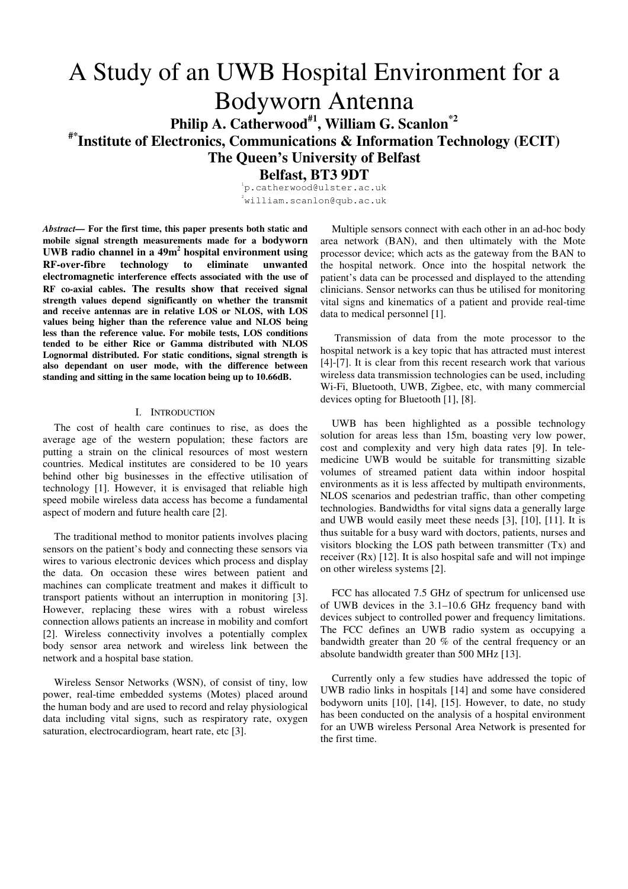# A Study of an UWB Hospital Environment for a Bodyworn Antenna **Philip A. Catherwood#1, William G. Scanlon\*2 #\*Institute of Electronics, Communications & Information Technology (ECIT) The Queen's University of Belfast**

**Belfast, BT3 9DT**  1 p.catherwood@ulster.ac.uk

 $^{2}$ william.scanlon@qub.ac.uk

*Abstract—* **For the first time, this paper presents both static and mobile signal strength measurements made for a bodyworn UWB radio channel in a 49m<sup>2</sup> hospital environment using RF-over-fibre technology to eliminate unwanted electromagnetic interference effects associated with the use of RF co-axial cables. The results show that received signal strength values depend significantly on whether the transmit and receive antennas are in relative LOS or NLOS, with LOS values being higher than the reference value and NLOS being less than the reference value. For mobile tests, LOS conditions tended to be either Rice or Gamma distributed with NLOS Lognormal distributed. For static conditions, signal strength is also dependant on user mode, with the difference between standing and sitting in the same location being up to 10.66dB.** 

## I. INTRODUCTION

The cost of health care continues to rise, as does the average age of the western population; these factors are putting a strain on the clinical resources of most western countries. Medical institutes are considered to be 10 years behind other big businesses in the effective utilisation of technology [1]. However, it is envisaged that reliable high speed mobile wireless data access has become a fundamental aspect of modern and future health care [2].

The traditional method to monitor patients involves placing sensors on the patient's body and connecting these sensors via wires to various electronic devices which process and display the data. On occasion these wires between patient and machines can complicate treatment and makes it difficult to transport patients without an interruption in monitoring [3]. However, replacing these wires with a robust wireless connection allows patients an increase in mobility and comfort [2]. Wireless connectivity involves a potentially complex body sensor area network and wireless link between the network and a hospital base station.

Wireless Sensor Networks (WSN), of consist of tiny, low power, real-time embedded systems (Motes) placed around the human body and are used to record and relay physiological data including vital signs, such as respiratory rate, oxygen saturation, electrocardiogram, heart rate, etc [3].

Multiple sensors connect with each other in an ad-hoc body area network (BAN), and then ultimately with the Mote processor device; which acts as the gateway from the BAN to the hospital network. Once into the hospital network the patient's data can be processed and displayed to the attending clinicians. Sensor networks can thus be utilised for monitoring vital signs and kinematics of a patient and provide real-time data to medical personnel [1].

 Transmission of data from the mote processor to the hospital network is a key topic that has attracted must interest [4]-[7]. It is clear from this recent research work that various wireless data transmission technologies can be used, including Wi-Fi, Bluetooth, UWB, Zigbee, etc, with many commercial devices opting for Bluetooth [1], [8].

UWB has been highlighted as a possible technology solution for areas less than 15m, boasting very low power, cost and complexity and very high data rates [9]. In telemedicine UWB would be suitable for transmitting sizable volumes of streamed patient data within indoor hospital environments as it is less affected by multipath environments, NLOS scenarios and pedestrian traffic, than other competing technologies. Bandwidths for vital signs data a generally large and UWB would easily meet these needs [3], [10], [11]. It is thus suitable for a busy ward with doctors, patients, nurses and visitors blocking the LOS path between transmitter (Tx) and receiver  $(Rx)$  [12]. It is also hospital safe and will not impinge on other wireless systems [2].

FCC has allocated 7.5 GHz of spectrum for unlicensed use of UWB devices in the 3.1–10.6 GHz frequency band with devices subject to controlled power and frequency limitations. The FCC defines an UWB radio system as occupying a bandwidth greater than 20 % of the central frequency or an absolute bandwidth greater than 500 MHz [13].

Currently only a few studies have addressed the topic of UWB radio links in hospitals [14] and some have considered bodyworn units [10], [14], [15]. However, to date, no study has been conducted on the analysis of a hospital environment for an UWB wireless Personal Area Network is presented for the first time.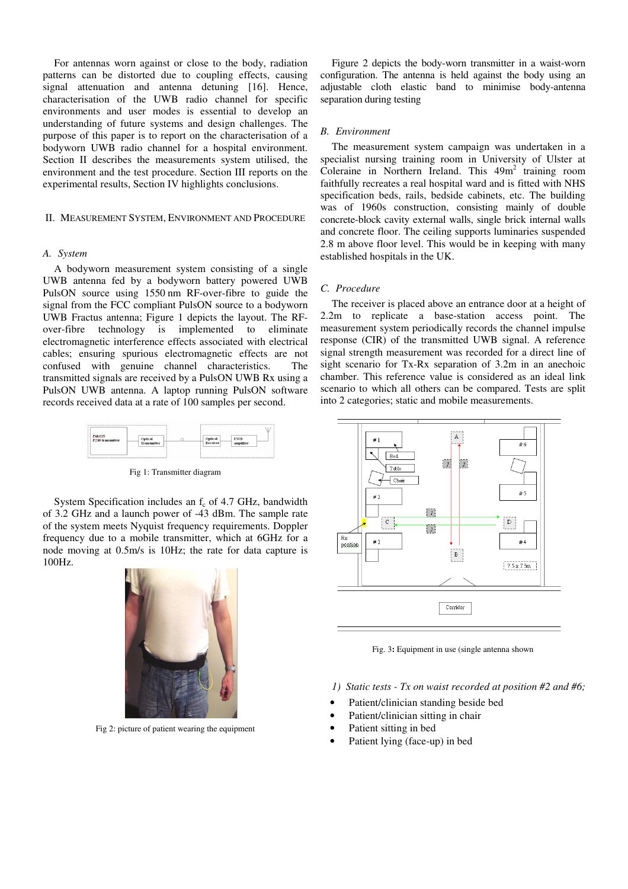For antennas worn against or close to the body, radiation patterns can be distorted due to coupling effects, causing signal attenuation and antenna detuning [16]. Hence, characterisation of the UWB radio channel for specific environments and user modes is essential to develop an understanding of future systems and design challenges. The purpose of this paper is to report on the characterisation of a bodyworn UWB radio channel for a hospital environment. Section II describes the measurements system utilised, the environment and the test procedure. Section III reports on the experimental results, Section IV highlights conclusions.

# II. MEASUREMENT SYSTEM, ENVIRONMENT AND PROCEDURE

# *A. System*

A bodyworn measurement system consisting of a single UWB antenna fed by a bodyworn battery powered UWB PulsON source using 1550 nm RF-over-fibre to guide the signal from the FCC compliant PulsON source to a bodyworn UWB Fractus antenna; Figure 1 depicts the layout. The RFover-fibre technology is implemented to eliminate electromagnetic interference effects associated with electrical cables; ensuring spurious electromagnetic effects are not confused with genuine channel characteristics. The transmitted signals are received by a PulsON UWB Rx using a PulsON UWB antenna. A laptop running PulsON software records received data at a rate of 100 samples per second.



Fig 1: Transmitter diagram

System Specification includes an  $f_c$  of 4.7 GHz, bandwidth of 3.2 GHz and a launch power of -43 dBm. The sample rate of the system meets Nyquist frequency requirements. Doppler frequency due to a mobile transmitter, which at 6GHz for a node moving at 0.5m/s is 10Hz; the rate for data capture is 100Hz.



Fig 2: picture of patient wearing the equipment

Figure 2 depicts the body-worn transmitter in a waist-worn configuration. The antenna is held against the body using an adjustable cloth elastic band to minimise body-antenna separation during testing

# *B. Environment*

The measurement system campaign was undertaken in a specialist nursing training room in University of Ulster at Coleraine in Northern Ireland. This  $49m^2$  training room faithfully recreates a real hospital ward and is fitted with NHS specification beds, rails, bedside cabinets, etc. The building was of 1960s construction, consisting mainly of double concrete-block cavity external walls, single brick internal walls and concrete floor. The ceiling supports luminaries suspended 2.8 m above floor level. This would be in keeping with many established hospitals in the UK.

# *C. Procedure*

The receiver is placed above an entrance door at a height of 2.2m to replicate a base-station access point. The measurement system periodically records the channel impulse response (CIR) of the transmitted UWB signal. A reference signal strength measurement was recorded for a direct line of sight scenario for Tx-Rx separation of 3.2m in an anechoic chamber. This reference value is considered as an ideal link scenario to which all others can be compared. Tests are split into 2 categories; static and mobile measurements.



Fig. 3**:** Equipment in use (single antenna shown

*1) Static tests - Tx on waist recorded at position #2 and #6;* 

- Patient/clinician standing beside bed
- Patient/clinician sitting in chair
- Patient sitting in bed
- Patient lying (face-up) in bed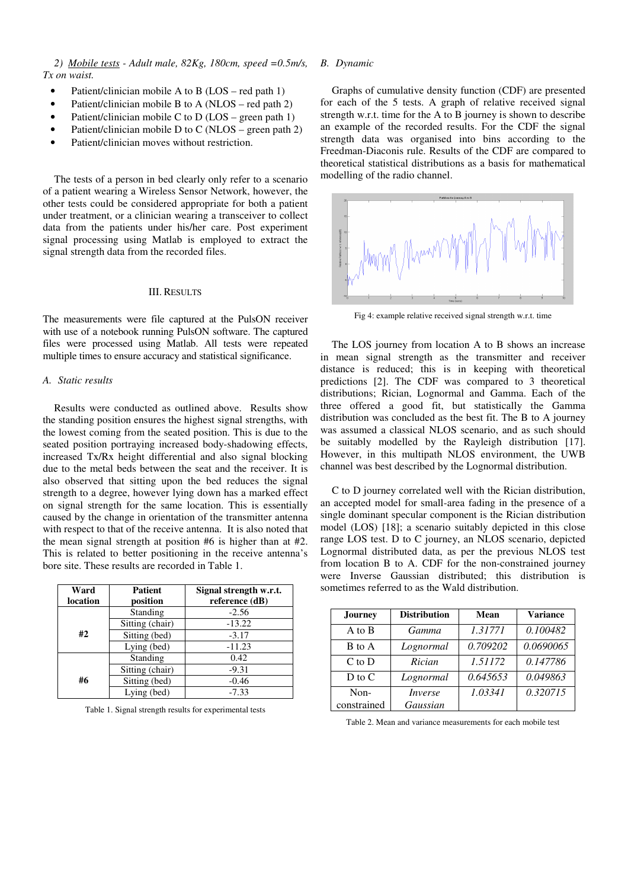*2) Mobile tests - Adult male, 82Kg, 180cm, speed =0.5m/s, Tx on waist.* 

- Patient/clinician mobile A to B (LOS red path 1)
- Patient/clinician mobile B to A ( $NLOS red$  path 2)
- Patient/clinician mobile C to D (LOS green path 1)
- Patient/clinician mobile D to C (NLOS green path 2)
- Patient/clinician moves without restriction.

The tests of a person in bed clearly only refer to a scenario of a patient wearing a Wireless Sensor Network, however, the other tests could be considered appropriate for both a patient under treatment, or a clinician wearing a transceiver to collect data from the patients under his/her care. Post experiment signal processing using Matlab is employed to extract the signal strength data from the recorded files.

#### III. RESULTS

The measurements were file captured at the PulsON receiver with use of a notebook running PulsON software. The captured files were processed using Matlab. All tests were repeated multiple times to ensure accuracy and statistical significance.

# *A. Static results*

Results were conducted as outlined above. Results show the standing position ensures the highest signal strengths, with the lowest coming from the seated position. This is due to the seated position portraying increased body-shadowing effects, increased Tx/Rx height differential and also signal blocking due to the metal beds between the seat and the receiver. It is also observed that sitting upon the bed reduces the signal strength to a degree, however lying down has a marked effect on signal strength for the same location. This is essentially caused by the change in orientation of the transmitter antenna with respect to that of the receive antenna. It is also noted that the mean signal strength at position #6 is higher than at #2. This is related to better positioning in the receive antenna's bore site. These results are recorded in Table 1.

| Ward     | <b>Patient</b>  | Signal strength w.r.t. |  |
|----------|-----------------|------------------------|--|
| location | position        | reference (dB)         |  |
|          | Standing        | $-2.56$                |  |
|          | Sitting (chair) | $-13.22$               |  |
| #2       | Sitting (bed)   | $-3.17$                |  |
|          | Lying (bed)     | $-11.23$               |  |
|          | Standing        | 0.42                   |  |
|          | Sitting (chair) | $-9.31$                |  |
| #6       | Sitting (bed)   | $-0.46$                |  |
|          | Lying (bed)     | $-7.33$                |  |

Table 1. Signal strength results for experimental tests

## *B. Dynamic*

Graphs of cumulative density function (CDF) are presented for each of the 5 tests. A graph of relative received signal strength w.r.t. time for the A to B journey is shown to describe an example of the recorded results. For the CDF the signal strength data was organised into bins according to the Freedman-Diaconis rule. Results of the CDF are compared to theoretical statistical distributions as a basis for mathematical modelling of the radio channel.



Fig 4: example relative received signal strength w.r.t. time

The LOS journey from location A to B shows an increase in mean signal strength as the transmitter and receiver distance is reduced; this is in keeping with theoretical predictions [2]. The CDF was compared to 3 theoretical distributions; Rician, Lognormal and Gamma. Each of the three offered a good fit, but statistically the Gamma distribution was concluded as the best fit. The B to A journey was assumed a classical NLOS scenario, and as such should be suitably modelled by the Rayleigh distribution [17]. However, in this multipath NLOS environment, the UWB channel was best described by the Lognormal distribution.

C to D journey correlated well with the Rician distribution, an accepted model for small-area fading in the presence of a single dominant specular component is the Rician distribution model (LOS) [18]; a scenario suitably depicted in this close range LOS test. D to C journey, an NLOS scenario, depicted Lognormal distributed data, as per the previous NLOS test from location B to A. CDF for the non-constrained journey were Inverse Gaussian distributed; this distribution is sometimes referred to as the Wald distribution.

| <b>Journey</b>    | <b>Distribution</b> | Mean     | <b>Variance</b> |
|-------------------|---------------------|----------|-----------------|
| A to B            | Gamma               | 1.31771  | 0.100482        |
| B to A            | Lognormal           | 0.709202 | 0.0690065       |
| $C$ to $D$        | Rician              | 1.51172  | 0.147786        |
| $D \text{ to } C$ | Lognormal           | 0.645653 | 0.049863        |
| Non-              | <i>Inverse</i>      | 1.03341  | 0.320715        |
| constrained       | Gaussian            |          |                 |

Table 2. Mean and variance measurements for each mobile test